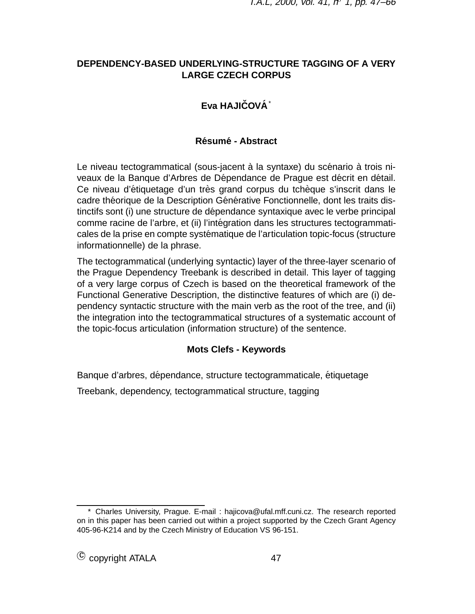# **DEPENDENCY-BASED UNDERLYING-STRUCTURE TAGGING OF A VERY LARGE CZECH CORPUS**

# $E$ va HAJIČOVÁ $^*$

### **Résumé - Abstract**

Le niveau tectogrammatical (sous-jacent à la syntaxe) du scénario à trois niveaux de la Banque d'Arbres de Dépendance de Prague est décrit en détail. Ce niveau d'étiquetage d'un très grand corpus du tchèque s'inscrit dans le cadre théorique de la Description Générative Fonctionnelle, dont les traits distinctifs sont (i) une structure de dependance syntaxique avec le verbe principal ´ comme racine de l'arbre, et (ii) l'intégration dans les structures tectogrammaticales de la prise en compte systématique de l'articulation topic-focus (structure informationnelle) de la phrase.

The tectogrammatical (underlying syntactic) layer of the three-layer scenario of the Prague Dependency Treebank is described in detail. This layer of tagging of a very large corpus of Czech is based on the theoretical framework of the Functional Generative Description, the distinctive features of which are (i) dependency syntactic structure with the main verb as the root of the tree, and (ii) the integration into the tectogrammatical structures of a systematic account of the topic-focus articulation (information structure) of the sentence.

#### **Mots Clefs - Keywords**

Banque d'arbres, dépendance, structure tectogrammaticale, étiquetage

Treebank, dependency, tectogrammatical structure, tagging

<sup>\*</sup> Charles University, Prague. E-mail : hajicova@ufal.mff.cuni.cz. The research reported on in this paper has been carried out within a project supported by the Czech Grant Agency 405-96-K214 and by the Czech Ministry of Education VS 96-151.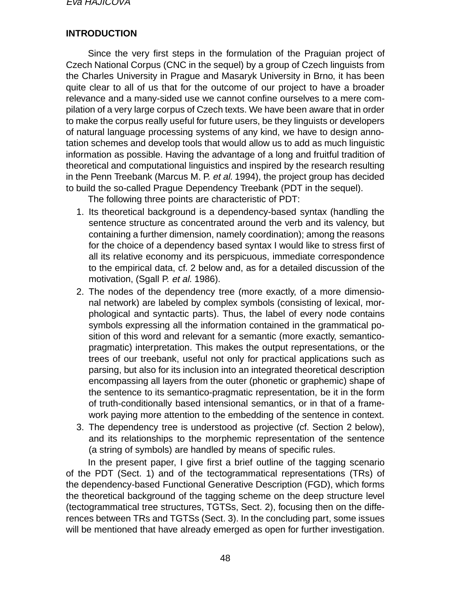#### **INTRODUCTION**

Since the very first steps in the formulation of the Praguian project of Czech National Corpus (CNC in the sequel) by a group of Czech linguists from the Charles University in Prague and Masaryk University in Brno, it has been quite clear to all of us that for the outcome of our project to have a broader relevance and a many-sided use we cannot confine ourselves to a mere compilation of a very large corpus of Czech texts. We have been aware that in order to make the corpus really useful for future users, be they linguists or developers of natural language processing systems of any kind, we have to design annotation schemes and develop tools that would allow us to add as much linguistic information as possible. Having the advantage of a long and fruitful tradition of theoretical and computational linguistics and inspired by the research resulting in the Penn Treebank (Marcus M. P. et al. 1994), the project group has decided to build the so-called Prague Dependency Treebank (PDT in the sequel).

The following three points are characteristic of PDT:

- 1. Its theoretical background is a dependency-based syntax (handling the sentence structure as concentrated around the verb and its valency, but containing a further dimension, namely coordination); among the reasons for the choice of a dependency based syntax I would like to stress first of all its relative economy and its perspicuous, immediate correspondence to the empirical data, cf. 2 below and, as for a detailed discussion of the motivation, (Sgall P. et al. 1986).
- 2. The nodes of the dependency tree (more exactly, of a more dimensional network) are labeled by complex symbols (consisting of lexical, morphological and syntactic parts). Thus, the label of every node contains symbols expressing all the information contained in the grammatical position of this word and relevant for a semantic (more exactly, semanticopragmatic) interpretation. This makes the output representations, or the trees of our treebank, useful not only for practical applications such as parsing, but also for its inclusion into an integrated theoretical description encompassing all layers from the outer (phonetic or graphemic) shape of the sentence to its semantico-pragmatic representation, be it in the form of truth-conditionally based intensional semantics, or in that of a framework paying more attention to the embedding of the sentence in context.
- 3. The dependency tree is understood as projective (cf. Section 2 below), and its relationships to the morphemic representation of the sentence (a string of symbols) are handled by means of specific rules.

In the present paper, I give first a brief outline of the tagging scenario of the PDT (Sect. 1) and of the tectogrammatical representations (TRs) of the dependency-based Functional Generative Description (FGD), which forms the theoretical background of the tagging scheme on the deep structure level (tectogrammatical tree structures, TGTSs, Sect. 2), focusing then on the differences between TRs and TGTSs (Sect. 3). In the concluding part, some issues will be mentioned that have already emerged as open for further investigation.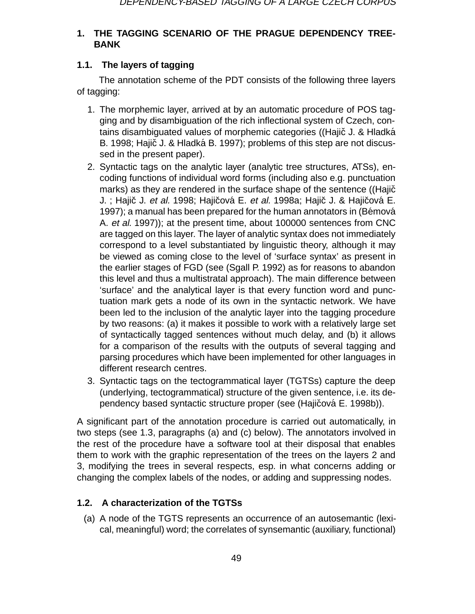### **1. THE TAGGING SCENARIO OF THE PRAGUE DEPENDENCY TREE-BANK**

# **1.1. The layers of tagging**

The annotation scheme of the PDT consists of the following three layers of tagging:

- 1. The morphemic layer, arrived at by an automatic procedure of POS tagging and by disambiguation of the rich inflectional system of Czech, contains disambiguated values of morphemic categories ((Hajič J. & Hladká B. 1998; Hajič J. & Hladká B. 1997); problems of this step are not discussed in the present paper).
- 2. Syntactic tags on the analytic layer (analytic tree structures, ATSs), encoding functions of individual word forms (including also e.g. punctuation marks) as they are rendered in the surface shape of the sentence ((Hajič J. ; Hajič J. *et al.* 1998; Hajičová E. *et al.* 1998a; Hajič J. & Hajičová E. 1997); a manual has been prepared for the human annotators in (Bémová A. et al. 1997)); at the present time, about 100000 sentences from CNC are tagged on this layer. The layer of analytic syntax does not immediately correspond to a level substantiated by linguistic theory, although it may be viewed as coming close to the level of 'surface syntax' as present in the earlier stages of FGD (see (Sgall P. 1992) as for reasons to abandon this level and thus a multistratal approach). The main difference between 'surface' and the analytical layer is that every function word and punctuation mark gets a node of its own in the syntactic network. We have been led to the inclusion of the analytic layer into the tagging procedure by two reasons: (a) it makes it possible to work with a relatively large set of syntactically tagged sentences without much delay, and (b) it allows for a comparison of the results with the outputs of several tagging and parsing procedures which have been implemented for other languages in different research centres.
- 3. Syntactic tags on the tectogrammatical layer (TGTSs) capture the deep (underlying, tectogrammatical) structure of the given sentence, i.e. its dependency based syntactic structure proper (see (Hajičová E. 1998b)).

A significant part of the annotation procedure is carried out automatically, in two steps (see 1.3, paragraphs (a) and (c) below). The annotators involved in the rest of the procedure have a software tool at their disposal that enables them to work with the graphic representation of the trees on the layers 2 and 3, modifying the trees in several respects, esp. in what concerns adding or changing the complex labels of the nodes, or adding and suppressing nodes.

# **1.2. A characterization of the TGTSs**

(a) A node of the TGTS represents an occurrence of an autosemantic (lexical, meaningful) word; the correlates of synsemantic (auxiliary, functional)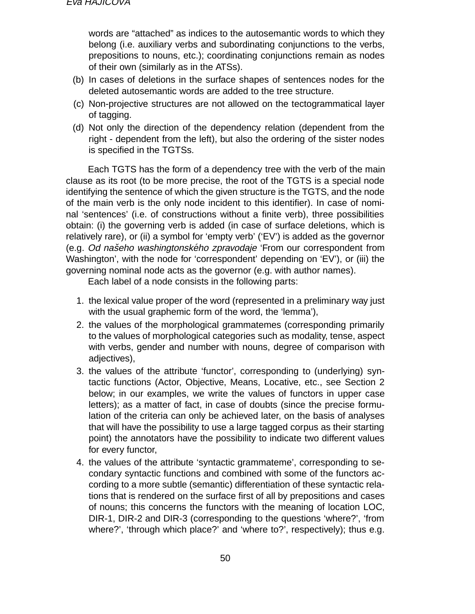words are "attached" as indices to the autosemantic words to which they belong (i.e. auxiliary verbs and subordinating conjunctions to the verbs, prepositions to nouns, etc.); coordinating conjunctions remain as nodes of their own (similarly as in the ATSs).

- (b) In cases of deletions in the surface shapes of sentences nodes for the deleted autosemantic words are added to the tree structure.
- (c) Non-projective structures are not allowed on the tectogrammatical layer of tagging.
- (d) Not only the direction of the dependency relation (dependent from the right - dependent from the left), but also the ordering of the sister nodes is specified in the TGTSs.

Each TGTS has the form of a dependency tree with the verb of the main clause as its root (to be more precise, the root of the TGTS is a special node identifying the sentence of which the given structure is the TGTS, and the node of the main verb is the only node incident to this identifier). In case of nominal 'sentences' (i.e. of constructions without a finite verb), three possibilities obtain: (i) the governing verb is added (in case of surface deletions, which is relatively rare), or (ii) a symbol for 'empty verb' ('EV') is added as the governor (e.g. Od našeho washingtonského zpravodaje 'From our correspondent from Washington', with the node for 'correspondent' depending on 'EV'), or (iii) the governing nominal node acts as the governor (e.g. with author names).

Each label of a node consists in the following parts:

- 1. the lexical value proper of the word (represented in a preliminary way just with the usual graphemic form of the word, the 'lemma'),
- 2. the values of the morphological grammatemes (corresponding primarily to the values of morphological categories such as modality, tense, aspect with verbs, gender and number with nouns, degree of comparison with adjectives),
- 3. the values of the attribute 'functor', corresponding to (underlying) syntactic functions (Actor, Objective, Means, Locative, etc., see Section 2 below; in our examples, we write the values of functors in upper case letters); as a matter of fact, in case of doubts (since the precise formulation of the criteria can only be achieved later, on the basis of analyses that will have the possibility to use a large tagged corpus as their starting point) the annotators have the possibility to indicate two different values for every functor,
- 4. the values of the attribute 'syntactic grammateme', corresponding to secondary syntactic functions and combined with some of the functors according to a more subtle (semantic) differentiation of these syntactic relations that is rendered on the surface first of all by prepositions and cases of nouns; this concerns the functors with the meaning of location LOC, DIR-1, DIR-2 and DIR-3 (corresponding to the questions 'where?', 'from where?', 'through which place?' and 'where to?', respectively); thus e.g.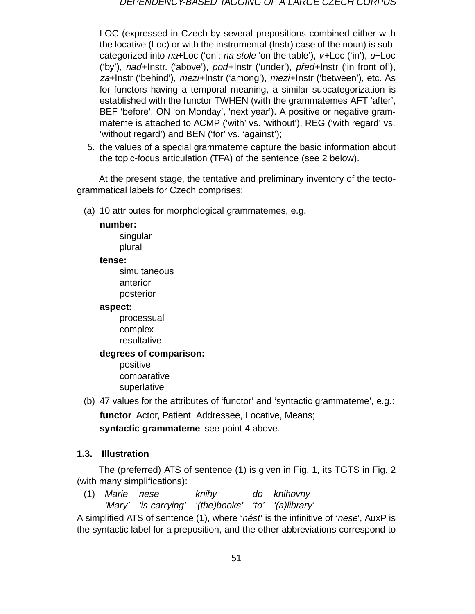LOC (expressed in Czech by several prepositions combined either with the locative (Loc) or with the instrumental (Instr) case of the noun) is subcategorized into na+Loc ('on': na stole 'on the table'),  $v+Loc$  ('in'),  $u+Loc$ ('by'), nad+lnstr. ('above'), pod+lnstr ('under'), pred+lnstr ('in front of'), za+Instr ('behind'), mezi+Instr ('among'), mezi+Instr ('between'), etc. As for functors having a temporal meaning, a similar subcategorization is established with the functor TWHEN (with the grammatemes AFT 'after', BEF 'before', ON 'on Monday', 'next year'). A positive or negative grammateme is attached to ACMP ('with' vs. 'without'), REG ('with regard' vs. 'without regard') and BEN ('for' vs. 'against');

5. the values of a special grammateme capture the basic information about the topic-focus articulation (TFA) of the sentence (see 2 below).

At the present stage, the tentative and preliminary inventory of the tectogrammatical labels for Czech comprises:

(a) 10 attributes for morphological grammatemes, e.g.

#### **number:**

singular plural

#### **tense:**

simultaneous anterior posterior

#### **aspect:**

processual complex resultative

### **degrees of comparison:**

positive comparative superlative

(b) 47 values for the attributes of 'functor' and 'syntactic grammateme', e.g.: **functor** Actor, Patient, Addressee, Locative, Means;

**syntactic grammateme** see point 4 above.

### **1.3. Illustration**

The (preferred) ATS of sentence (1) is given in Fig. 1, its TGTS in Fig. 2 (with many simplifications):

(1) Marie nese knihy do knihovny 'Mary' 'is-carrying' '(the)books' 'to' '(a)library'

A simplified ATS of sentence (1), where '*nést'* is the infinitive of '*nese*', AuxP is the syntactic label for a preposition, and the other abbreviations correspond to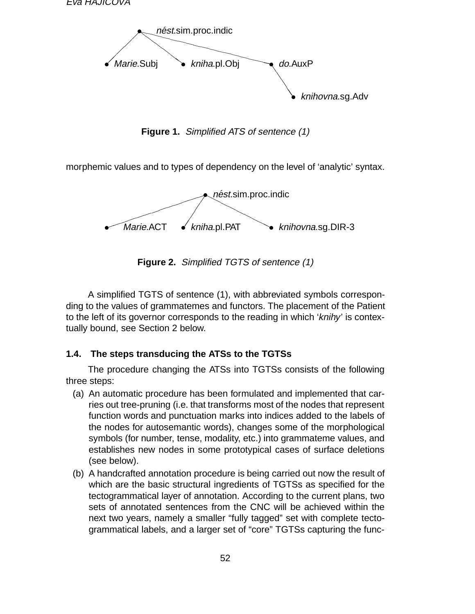

**Figure 1.** Simplified ATS of sentence (1)

morphemic values and to types of dependency on the level of 'analytic' syntax.



**Figure 2.** Simplified TGTS of sentence (1)

A simplified TGTS of sentence (1), with abbreviated symbols corresponding to the values of grammatemes and functors. The placement of the Patient to the left of its governor corresponds to the reading in which 'knihy' is contextually bound, see Section 2 below.

# **1.4. The steps transducing the ATSs to the TGTSs**

The procedure changing the ATSs into TGTSs consists of the following three steps:

- (a) An automatic procedure has been formulated and implemented that carries out tree-pruning (i.e. that transforms most of the nodes that represent function words and punctuation marks into indices added to the labels of the nodes for autosemantic words), changes some of the morphological symbols (for number, tense, modality, etc.) into grammateme values, and establishes new nodes in some prototypical cases of surface deletions (see below).
- (b) A handcrafted annotation procedure is being carried out now the result of which are the basic structural ingredients of TGTSs as specified for the tectogrammatical layer of annotation. According to the current plans, two sets of annotated sentences from the CNC will be achieved within the next two years, namely a smaller "fully tagged" set with complete tectogrammatical labels, and a larger set of "core" TGTSs capturing the func-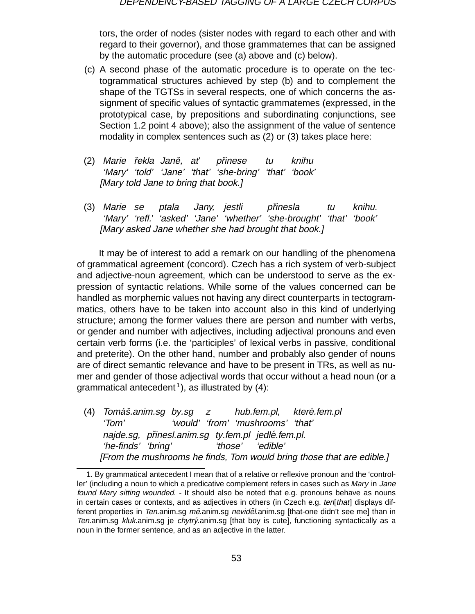tors, the order of nodes (sister nodes with regard to each other and with regard to their governor), and those grammatemes that can be assigned by the automatic procedure (see (a) above and (c) below).

- (c) A second phase of the automatic procedure is to operate on the tectogrammatical structures achieved by step (b) and to complement the shape of the TGTSs in several respects, one of which concerns the assignment of specific values of syntactic grammatemes (expressed, in the prototypical case, by prepositions and subordinating conjunctions, see Section 1.2 point 4 above); also the assignment of the value of sentence modality in complex sentences such as (2) or (3) takes place here:
- (2) Marie řekla Janě, ať přinese tu knihu 'Mary' 'told' 'Jane' 'that' 'she-bring' 'that' 'book' [Mary told Jane to bring that book.]
- (3) Marie se ptala Jany, jestli prinesla tu knihu. ˇ'Mary' 'refl.' 'asked' 'Jane' 'whether' 'she-brought' 'that' 'book' [Mary asked Jane whether she had brought that book.]

It may be of interest to add a remark on our handling of the phenomena of grammatical agreement (concord). Czech has a rich system of verb-subject and adjective-noun agreement, which can be understood to serve as the expression of syntactic relations. While some of the values concerned can be handled as morphemic values not having any direct counterparts in tectogrammatics, others have to be taken into account also in this kind of underlying structure; among the former values there are person and number with verbs, or gender and number with adjectives, including adjectival pronouns and even certain verb forms (i.e. the 'participles' of lexical verbs in passive, conditional and preterite). On the other hand, number and probably also gender of nouns are of direct semantic relevance and have to be present in TRs, as well as numer and gender of those adjectival words that occur without a head noun (or a grammatical antecedent<sup>1</sup>), as illustrated by  $(4)$ :

(4) Tomáš.anim.sg by.sg z hub.fem.pl, které.fem.pl 'Tom' 'would' 'from' 'mushrooms' 'that' najde.sg, přinesl.anim.sg ty.fem.pl jedlé.fem.pl. 'he-finds' 'bring' 'those' 'edible' [From the mushrooms he finds, Tom would bring those that are edible.]

<sup>1.</sup> By grammatical antecedent I mean that of a relative or reflexive pronoun and the 'controller' (including a noun to which a predicative complement refers in cases such as Mary in Jane found Mary sitting wounded. - It should also be noted that e.g. pronouns behave as nouns in certain cases or contexts, and as adjectives in others (in Czech e.g. ten[that] displays different properties in Ten.anim.sg me.anim.sg nevidel.anim.sg [that-one didn't see me] than in Ten.anim.sg kluk.anim.sg je chytrý.anim.sg [that boy is cute], functioning syntactically as a noun in the former sentence, and as an adjective in the latter.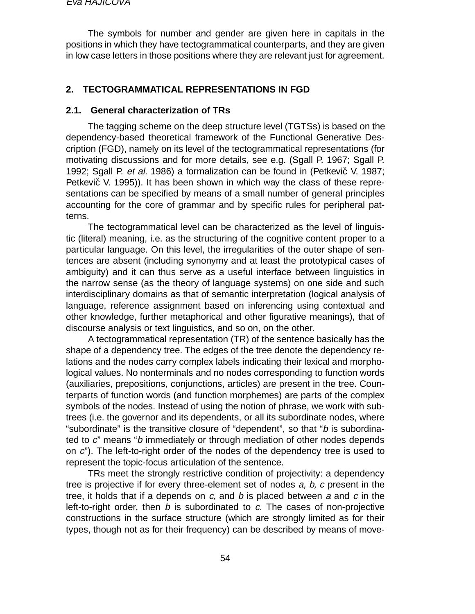The symbols for number and gender are given here in capitals in the positions in which they have tectogrammatical counterparts, and they are given in low case letters in those positions where they are relevant just for agreement.

### **2. TECTOGRAMMATICAL REPRESENTATIONS IN FGD**

#### **2.1. General characterization of TRs**

The tagging scheme on the deep structure level (TGTSs) is based on the dependency-based theoretical framework of the Functional Generative Description (FGD), namely on its level of the tectogrammatical representations (for motivating discussions and for more details, see e.g. (Sgall P. 1967; Sgall P. 1992; Sgall P. et al. 1986) a formalization can be found in (Petkevič V. 1987; Petkevič V. 1995)). It has been shown in which way the class of these representations can be specified by means of a small number of general principles accounting for the core of grammar and by specific rules for peripheral patterns.

The tectogrammatical level can be characterized as the level of linguistic (literal) meaning, i.e. as the structuring of the cognitive content proper to a particular language. On this level, the irregularities of the outer shape of sentences are absent (including synonymy and at least the prototypical cases of ambiguity) and it can thus serve as a useful interface between linguistics in the narrow sense (as the theory of language systems) on one side and such interdisciplinary domains as that of semantic interpretation (logical analysis of language, reference assignment based on inferencing using contextual and other knowledge, further metaphorical and other figurative meanings), that of discourse analysis or text linguistics, and so on, on the other.

A tectogrammatical representation (TR) of the sentence basically has the shape of a dependency tree. The edges of the tree denote the dependency relations and the nodes carry complex labels indicating their lexical and morphological values. No nonterminals and no nodes corresponding to function words (auxiliaries, prepositions, conjunctions, articles) are present in the tree. Counterparts of function words (and function morphemes) are parts of the complex symbols of the nodes. Instead of using the notion of phrase, we work with subtrees (i.e. the governor and its dependents, or all its subordinate nodes, where "subordinate" is the transitive closure of "dependent", so that "b is subordinated to c" means "b immediately or through mediation of other nodes depends on <sup>c</sup>"). The left-to-right order of the nodes of the dependency tree is used to represent the topic-focus articulation of the sentence.

TRs meet the strongly restrictive condition of projectivity: a dependency tree is projective if for every three-element set of nodes a, b, c present in the tree, it holds that if a depends on  $c$ , and  $b$  is placed between a and  $c$  in the left-to-right order, then  $b$  is subordinated to  $c$ . The cases of non-projective constructions in the surface structure (which are strongly limited as for their types, though not as for their frequency) can be described by means of move-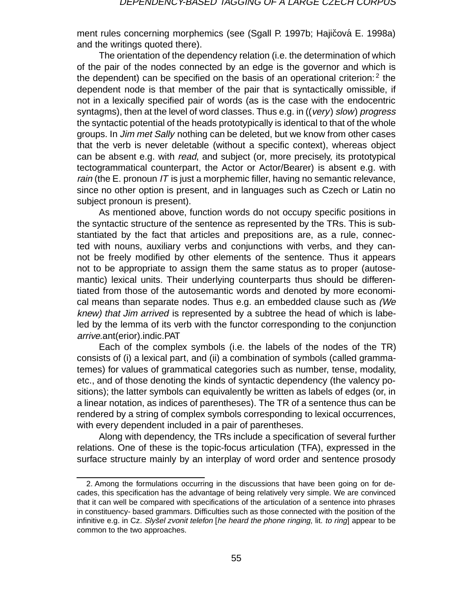ment rules concerning morphemics (see (Sgall P. 1997b; Hajičová E. 1998a) and the writings quoted there).

The orientation of the dependency relation (i.e. the determination of which of the pair of the nodes connected by an edge is the governor and which is the dependent) can be specified on the basis of an operational criterion:  $2$  the dependent node is that member of the pair that is syntactically omissible, if not in a lexically specified pair of words (as is the case with the endocentric syntagms), then at the level of word classes. Thus e.g. in ((very) slow) progress the syntactic potential of the heads prototypically is identical to that of the whole groups. In Jim met Sally nothing can be deleted, but we know from other cases that the verb is never deletable (without a specific context), whereas object can be absent e.g. with read, and subject (or, more precisely, its prototypical tectogrammatical counterpart, the Actor or Actor/Bearer) is absent e.g. with rain (the E. pronoun IT is just a morphemic filler, having no semantic relevance, since no other option is present, and in languages such as Czech or Latin no subject pronoun is present).

As mentioned above, function words do not occupy specific positions in the syntactic structure of the sentence as represented by the TRs. This is substantiated by the fact that articles and prepositions are, as a rule, connected with nouns, auxiliary verbs and conjunctions with verbs, and they cannot be freely modified by other elements of the sentence. Thus it appears not to be appropriate to assign them the same status as to proper (autosemantic) lexical units. Their underlying counterparts thus should be differentiated from those of the autosemantic words and denoted by more economical means than separate nodes. Thus e.g. an embedded clause such as (We knew) that Jim arrived is represented by a subtree the head of which is labeled by the lemma of its verb with the functor corresponding to the conjunction arrive.ant(erior).indic.PAT

Each of the complex symbols (i.e. the labels of the nodes of the TR) consists of (i) a lexical part, and (ii) a combination of symbols (called grammatemes) for values of grammatical categories such as number, tense, modality, etc., and of those denoting the kinds of syntactic dependency (the valency positions); the latter symbols can equivalently be written as labels of edges (or, in a linear notation, as indices of parentheses). The TR of a sentence thus can be rendered by a string of complex symbols corresponding to lexical occurrences, with every dependent included in a pair of parentheses.

Along with dependency, the TRs include a specification of several further relations. One of these is the topic-focus articulation (TFA), expressed in the surface structure mainly by an interplay of word order and sentence prosody

<sup>2.</sup> Among the formulations occurring in the discussions that have been going on for decades, this specification has the advantage of being relatively very simple. We are convinced that it can well be compared with specifications of the articulation of a sentence into phrases in constituency- based grammars. Difficulties such as those connected with the position of the infinitive e.g. in Cz. Slysel zvonit telefon [he heard the phone ringing, lit. to ring] appear to be common to the two approaches.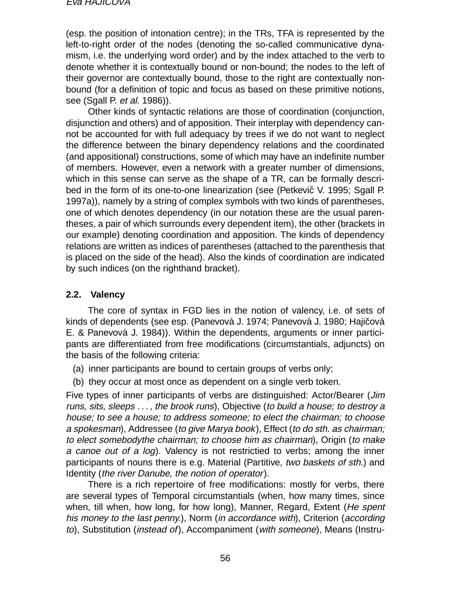(esp. the position of intonation centre); in the TRs, TFA is represented by the left-to-right order of the nodes (denoting the so-called communicative dynamism, i.e. the underlying word order) and by the index attached to the verb to denote whether it is contextually bound or non-bound; the nodes to the left of their governor are contextually bound, those to the right are contextually nonbound (for a definition of topic and focus as based on these primitive notions, see (Sgall P. et al. 1986)).

Other kinds of syntactic relations are those of coordination (conjunction, disjunction and others) and of apposition. Their interplay with dependency cannot be accounted for with full adequacy by trees if we do not want to neglect the difference between the binary dependency relations and the coordinated (and appositional) constructions, some of which may have an indefinite number of members. However, even a network with a greater number of dimensions, which in this sense can serve as the shape of a TR, can be formally described in the form of its one-to-one linearization (see (Petkevič V. 1995; Sgall P. 1997a)), namely by a string of complex symbols with two kinds of parentheses, one of which denotes dependency (in our notation these are the usual parentheses, a pair of which surrounds every dependent item), the other (brackets in our example) denoting coordination and apposition. The kinds of dependency relations are written as indices of parentheses (attached to the parenthesis that is placed on the side of the head). Also the kinds of coordination are indicated by such indices (on the righthand bracket).

### **2.2. Valency**

The core of syntax in FGD lies in the notion of valency, i.e. of sets of kinds of dependents (see esp. (Panevová J. 1974; Panevová J. 1980; Hajičová E. & Panevová J. 1984)). Within the dependents, arguments or inner participants are differentiated from free modifications (circumstantials, adjuncts) on the basis of the following criteria:

- (a) inner participants are bound to certain groups of verbs only;
- (b) they occur at most once as dependent on a single verb token.

Five types of inner participants of verbs are distinguished: Actor/Bearer (*Jim* runs, sits, sleeps . . . , the brook runs), Objective (to build <sup>a</sup> house; to destroy <sup>a</sup> house; to see <sup>a</sup> house; to address someone; to elect the chairman; to choose <sup>a</sup> spokesman), Addressee (to give Marya book), Effect (to do sth. as chairman; to elect somebodythe chairman; to choose him as chairman), Origin (to make a canoe out of a log). Valency is not restrictied to verbs; among the inner participants of nouns there is e.g. Material (Partitive, two baskets of sth.) and Identity (the river Danube, the notion of operator).

There is a rich repertoire of free modifications: mostly for verbs, there are several types of Temporal circumstantials (when, how many times, since when, till when, how long, for how long), Manner, Regard, Extent (He spent his money to the last penny.), Norm (in accordance with), Criterion (according to), Substitution (instead of), Accompaniment (with someone), Means (Instru-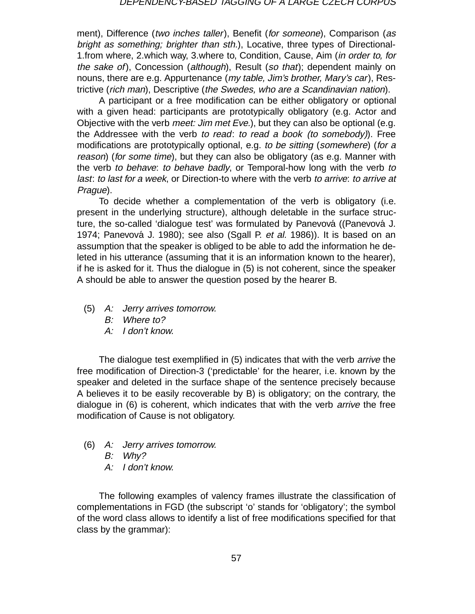ment), Difference (two inches taller), Benefit (for someone), Comparison (as bright as something; brighter than sth.), Locative, three types of Directional-1.from where, 2.which way, 3.where to, Condition, Cause, Aim (in order to, for the sake of), Concession (although), Result (so that); dependent mainly on nouns, there are e.g. Appurtenance (*my table, Jim's brother, Mary's car*), Restrictive (rich man), Descriptive (the Swedes, who are <sup>a</sup> Scandinavian nation).

A participant or a free modification can be either obligatory or optional with a given head: participants are prototypically obligatory (e.g. Actor and Objective with the verb meet: Jim met Eve.), but they can also be optional (e.g. the Addressee with the verb to read: to read <sup>a</sup> book (to somebody)). Free modifications are prototypically optional, e.g. to be sitting (somewhere) (for <sup>a</sup> reason) (for some time), but they can also be obligatory (as e.g. Manner with the verb to behave: to behave badly, or Temporal-how long with the verb to last: to last for a week, or Direction-to where with the verb to arrive: to arrive at Prague).

To decide whether a complementation of the verb is obligatory (i.e. present in the underlying structure), although deletable in the surface structure, the so-called 'dialogue test' was formulated by Panevová ((Panevová J. 1974; Panevová J. 1980); see also (Sgall P. *et al.* 1986)). It is based on an assumption that the speaker is obliged to be able to add the information he deleted in his utterance (assuming that it is an information known to the hearer), if he is asked for it. Thus the dialogue in (5) is not coherent, since the speaker A should be able to answer the question posed by the hearer B.

- (5) A: Jerry arrives tomorrow.
	- B: Where to?
	- A: I don't know.

The dialogue test exemplified in (5) indicates that with the verb *arrive* the free modification of Direction-3 ('predictable' for the hearer, i.e. known by the speaker and deleted in the surface shape of the sentence precisely because A believes it to be easily recoverable by B) is obligatory; on the contrary, the dialogue in (6) is coherent, which indicates that with the verb arrive the free modification of Cause is not obligatory.

- (6) A: Jerry arrives tomorrow.
	- B: Why?
	- A: I don't know.

The following examples of valency frames illustrate the classification of complementations in FGD (the subscript 'o' stands for 'obligatory'; the symbol of the word class allows to identify a list of free modifications specified for that class by the grammar):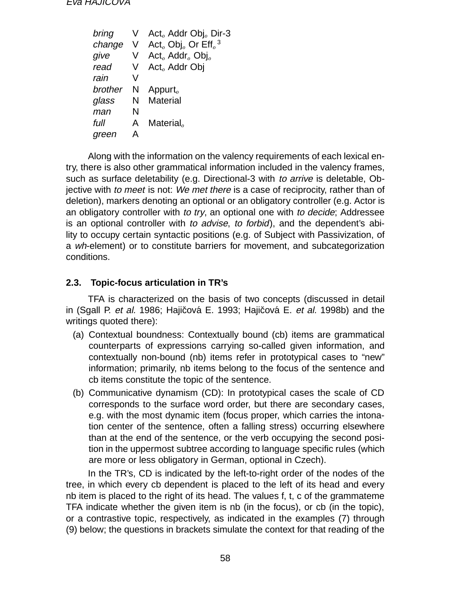Eva HAJICOVA

| bring   | V  | Act <sub>o</sub> Addr Obj <sub>o</sub> Dir-3                       |
|---------|----|--------------------------------------------------------------------|
| change  | V. | Act <sub>o</sub> Obj <sub>o</sub> Or Eff <sub>o</sub> <sup>3</sup> |
| give    | V  | Act <sub>o</sub> Addr <sub>o</sub> Obj <sub>o</sub>                |
| read    | V  | Act <sub>o</sub> Addr Obj                                          |
| rain    | V  |                                                                    |
| brother | N  | Appurt <sub>o</sub>                                                |
| glass   | N  | <b>Material</b>                                                    |
| man     | N  |                                                                    |
| full    | Α  | Material <sub><math>o</math></sub>                                 |
| green   | А  |                                                                    |

Along with the information on the valency requirements of each lexical entry, there is also other grammatical information included in the valency frames, such as surface deletability (e.g. Directional-3 with to arrive is deletable, Objective with to meet is not: We met there is a case of reciprocity, rather than of deletion), markers denoting an optional or an obligatory controller (e.g. Actor is an obligatory controller with to try, an optional one with to decide; Addressee is an optional controller with to advise, to forbid), and the dependent's ability to occupy certain syntactic positions (e.g. of Subject with Passivization, of a wh-element) or to constitute barriers for movement, and subcategorization conditions.

### **2.3. Topic-focus articulation in TR's**

TFA is characterized on the basis of two concepts (discussed in detail in (Sgall P. et al. 1986; Hajičová E. 1993; Hajičová E. et al. 1998b) and the writings quoted there):

- (a) Contextual boundness: Contextually bound (cb) items are grammatical counterparts of expressions carrying so-called given information, and contextually non-bound (nb) items refer in prototypical cases to "new" information; primarily, nb items belong to the focus of the sentence and cb items constitute the topic of the sentence.
- (b) Communicative dynamism (CD): In prototypical cases the scale of CD corresponds to the surface word order, but there are secondary cases, e.g. with the most dynamic item (focus proper, which carries the intonation center of the sentence, often a falling stress) occurring elsewhere than at the end of the sentence, or the verb occupying the second position in the uppermost subtree according to language specific rules (which are more or less obligatory in German, optional in Czech).

In the TR's, CD is indicated by the left-to-right order of the nodes of the tree, in which every cb dependent is placed to the left of its head and every nb item is placed to the right of its head. The values f, t, c of the grammateme TFA indicate whether the given item is nb (in the focus), or cb (in the topic), or a contrastive topic, respectively, as indicated in the examples (7) through (9) below; the questions in brackets simulate the context for that reading of the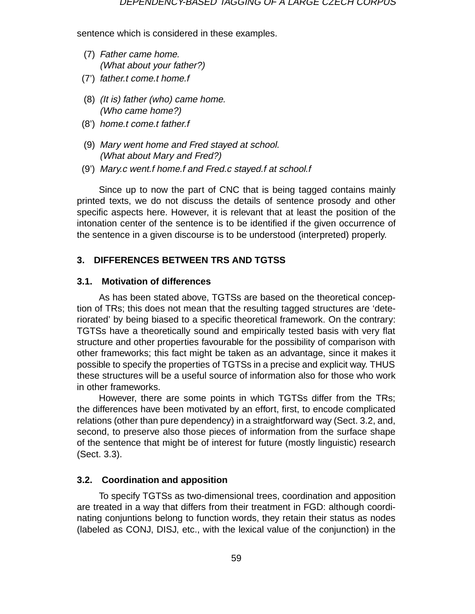sentence which is considered in these examples.

- (7) Father came home. (What about your father?)
- (7') father.t come.t home.f
- (8) (It is) father (who) came home. (Who came home?)
- (8') home.t come.t father.f
- (9) Mary went home and Fred stayed at school. (What about Mary and Fred?)
- (9') Mary.c went.f home.f and Fred.c stayed.f at school.f

Since up to now the part of CNC that is being tagged contains mainly printed texts, we do not discuss the details of sentence prosody and other specific aspects here. However, it is relevant that at least the position of the intonation center of the sentence is to be identified if the given occurrence of the sentence in a given discourse is to be understood (interpreted) properly.

### **3. DIFFERENCES BETWEEN TRS AND TGTSS**

### **3.1. Motivation of differences**

As has been stated above, TGTSs are based on the theoretical conception of TRs; this does not mean that the resulting tagged structures are 'deteriorated' by being biased to a specific theoretical framework. On the contrary: TGTSs have a theoretically sound and empirically tested basis with very flat structure and other properties favourable for the possibility of comparison with other frameworks; this fact might be taken as an advantage, since it makes it possible to specify the properties of TGTSs in a precise and explicit way. THUS these structures will be a useful source of information also for those who work in other frameworks.

However, there are some points in which TGTSs differ from the TRs; the differences have been motivated by an effort, first, to encode complicated relations (other than pure dependency) in a straightforward way (Sect. 3.2, and, second, to preserve also those pieces of information from the surface shape of the sentence that might be of interest for future (mostly linguistic) research (Sect. 3.3).

#### **3.2. Coordination and apposition**

To specify TGTSs as two-dimensional trees, coordination and apposition are treated in a way that differs from their treatment in FGD: although coordinating conjuntions belong to function words, they retain their status as nodes (labeled as CONJ, DISJ, etc., with the lexical value of the conjunction) in the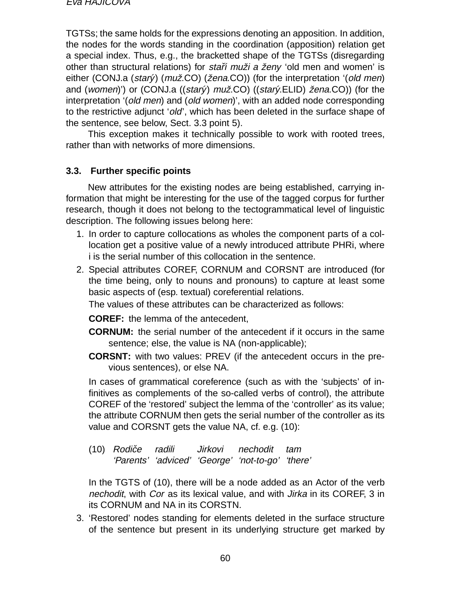TGTSs; the same holds for the expressions denoting an apposition. In addition, the nodes for the words standing in the coordination (apposition) relation get a special index. Thus, e.g., the bracketted shape of the TGTSs (disregarding other than structural relations) for *staří muži a ženy* 'old men and women' is either (CONJ.a (starý) (muž.CO) (žena.CO)) (for the interpretation '(old men) and (women)') or (CONJ.a ((starý) muž.CO) ((starý.ELID) žena.CO)) (for the interpretation '(old men) and (old women)', with an added node corresponding to the restrictive adjunct '*old*', which has been deleted in the surface shape of the sentence, see below, Sect. 3.3 point 5).

This exception makes it technically possible to work with rooted trees, rather than with networks of more dimensions.

### **3.3. Further specific points**

New attributes for the existing nodes are being established, carrying information that might be interesting for the use of the tagged corpus for further research, though it does not belong to the tectogrammatical level of linguistic description. The following issues belong here:

- 1. In order to capture collocations as wholes the component parts of a collocation get a positive value of a newly introduced attribute PHRi, where i is the serial number of this collocation in the sentence.
- 2. Special attributes COREF, CORNUM and CORSNT are introduced (for the time being, only to nouns and pronouns) to capture at least some basic aspects of (esp. textual) coreferential relations.

The values of these attributes can be characterized as follows:

**COREF:** the lemma of the antecedent,

- **CORNUM:** the serial number of the antecedent if it occurs in the same sentence; else, the value is NA (non-applicable);
- **CORSNT:** with two values: PREV (if the antecedent occurs in the previous sentences), or else NA.

In cases of grammatical coreference (such as with the 'subjects' of infinitives as complements of the so-called verbs of control), the attribute COREF of the 'restored' subject the lemma of the 'controller' as its value; the attribute CORNUM then gets the serial number of the controller as its value and CORSNT gets the value NA, cf. e.g. (10):

| (10) Rodiče radili |  | Jirkovi nechodit tam                             |  |
|--------------------|--|--------------------------------------------------|--|
|                    |  | 'Parents' 'adviced' 'George' 'not-to-go' 'there' |  |

In the TGTS of (10), there will be a node added as an Actor of the verb nechodit, with Cor as its lexical value, and with Jirka in its COREF, 3 in its CORNUM and NA in its CORSTN.

3. 'Restored' nodes standing for elements deleted in the surface structure of the sentence but present in its underlying structure get marked by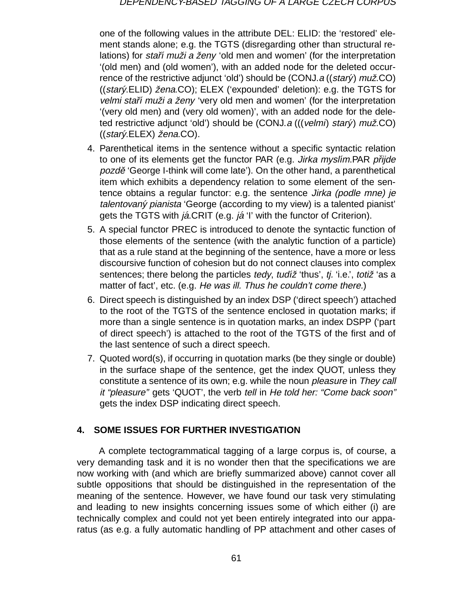one of the following values in the attribute DEL: ELID: the 'restored' element stands alone; e.g. the TGTS (disregarding other than structural relations) for *staří muži a ženy* 'old men and women' (for the interpretation '(old men) and (old women'), with an added node for the deleted occurrence of the restrictive adjunct 'old') should be  $(CONJ.a \cdot ((star\dot{y}) \cdot mu\dot{z}.CO))$  $((star/$ .ELID)  $žena$ .CO); ELEX ('expounded' deletion): e.g. the TGTS for velmi staří muži a ženy 'very old men and women' (for the interpretation '(very old men) and (very old women)', with an added node for the deleted restrictive adjunct 'old') should be (CONJ.a (((velmi) starý) muž.CO)  $((star/ ELEX) \; \check{z}$ ena.CO).

- 4. Parenthetical items in the sentence without a specific syntactic relation to one of its elements get the functor PAR (e.g. Jirka myslím.PAR přijde pozde 'George I-think will come late'). On the other hand, a parenthetical item which exhibits a dependency relation to some element of the sentence obtains a regular functor: e.g. the sentence Jirka (podle mne) je talentovaný pianista 'George (according to my view) is a talented pianist' gets the TGTS with *já*.CRIT (e.g. *já* 'I' with the functor of Criterion).
- 5. A special functor PREC is introduced to denote the syntactic function of those elements of the sentence (with the analytic function of a particle) that as a rule stand at the beginning of the sentence, have a more or less discoursive function of cohesion but do not connect clauses into complex sentences; there belong the particles *tedy, tudíž* 'thus', t*j.* 'i.e.', totiž 'as a matter of fact', etc. (e.g. He was ill. Thus he couldn't come there.)
- 6. Direct speech is distinguished by an index DSP ('direct speech') attached to the root of the TGTS of the sentence enclosed in quotation marks; if more than a single sentence is in quotation marks, an index DSPP ('part of direct speech') is attached to the root of the TGTS of the first and of the last sentence of such a direct speech.
- 7. Quoted word(s), if occurring in quotation marks (be they single or double) in the surface shape of the sentence, get the index QUOT, unless they constitute a sentence of its own; e.g. while the noun pleasure in They call it "pleasure" gets 'QUOT', the verb tell in He told her: "Come back soon" gets the index DSP indicating direct speech.

### **4. SOME ISSUES FOR FURTHER INVESTIGATION**

A complete tectogrammatical tagging of a large corpus is, of course, a very demanding task and it is no wonder then that the specifications we are now working with (and which are briefly summarized above) cannot cover all subtle oppositions that should be distinguished in the representation of the meaning of the sentence. However, we have found our task very stimulating and leading to new insights concerning issues some of which either (i) are technically complex and could not yet been entirely integrated into our apparatus (as e.g. a fully automatic handling of PP attachment and other cases of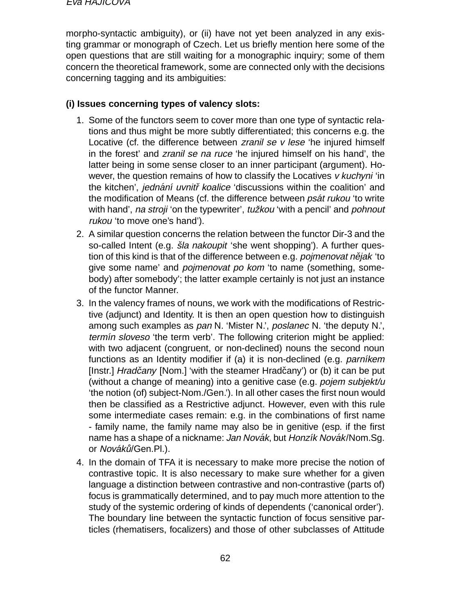morpho-syntactic ambiguity), or (ii) have not yet been analyzed in any existing grammar or monograph of Czech. Let us briefly mention here some of the open questions that are still waiting for a monographic inquiry; some of them concern the theoretical framework, some are connected only with the decisions concerning tagging and its ambiguities:

### **(i) Issues concerning types of valency slots:**

- 1. Some of the functors seem to cover more than one type of syntactic relations and thus might be more subtly differentiated; this concerns e.g. the Locative (cf. the difference between *zranil se v lese* 'he injured himself in the forest' and zranil se na ruce 'he injured himself on his hand', the latter being in some sense closer to an inner participant (argument). However, the question remains of how to classify the Locatives v kuchyni 'in the kitchen', jednání uvnitř koalice 'discussions within the coalition' and the modification of Means (cf. the difference between *psat rukou* 'to write with hand', na stroji 'on the typewriter', tužkou 'with a pencil' and pohnout rukou 'to move one's hand').
- 2. A similar question concerns the relation between the functor Dir-3 and the so-called Intent (e.g. *šla nakoupit* 'she went shopping'). A further question of this kind is that of the difference between e.g. *pojmenovat nějak* 'to give some name' and *pojmenovat po kom* 'to name (something, somebody) after somebody'; the latter example certainly is not just an instance of the functor Manner.
- 3. In the valency frames of nouns, we work with the modifications of Restrictive (adjunct) and Identity. It is then an open question how to distinguish among such examples as pan N. 'Mister N.', poslanec N. 'the deputy N.', termin sloveso 'the term verb'. The following criterion might be applied: with two adjacent (congruent, or non-declined) nouns the second noun functions as an Identity modifier if (a) it is non-declined (e.g.  $parn'$ [Instr.] Hradčany [Nom.] 'with the steamer Hradčany') or (b) it can be put (without a change of meaning) into a genitive case (e.g. *pojem subjekt/u* 'the notion (of) subject-Nom./Gen.'). In all other cases the first noun would then be classified as a Restrictive adjunct. However, even with this rule some intermediate cases remain: e.g. in the combinations of first name - family name, the family name may also be in genitive (esp. if the first name has a shape of a nickname: Jan Novák, but Honzík Novák/Nom.Sg. or Nováků/Gen.Pl.).
- 4. In the domain of TFA it is necessary to make more precise the notion of contrastive topic. It is also necessary to make sure whether for a given language a distinction between contrastive and non-contrastive (parts of) focus is grammatically determined, and to pay much more attention to the study of the systemic ordering of kinds of dependents ('canonical order'). The boundary line between the syntactic function of focus sensitive particles (rhematisers, focalizers) and those of other subclasses of Attitude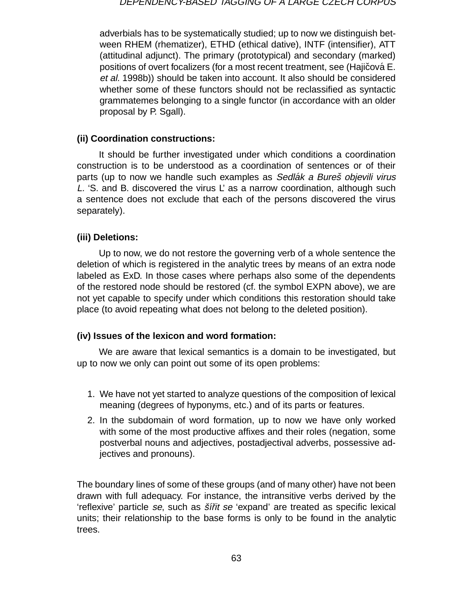adverbials has to be systematically studied; up to now we distinguish between RHEM (rhematizer), ETHD (ethical dative), INTF (intensifier), ATT (attitudinal adjunct). The primary (prototypical) and secondary (marked) positions of overt focalizers (for a most recent treatment, see (Hajičová E. et al. 1998b)) should be taken into account. It also should be considered whether some of these functors should not be reclassified as syntactic grammatemes belonging to a single functor (in accordance with an older proposal by P. Sgall).

#### **(ii) Coordination constructions:**

It should be further investigated under which conditions a coordination construction is to be understood as a coordination of sentences or of their parts (up to now we handle such examples as Sedlák a Bures objevili virus L. 'S. and B. discovered the virus L' as a narrow coordination, although such a sentence does not exclude that each of the persons discovered the virus separately).

### **(iii) Deletions:**

Up to now, we do not restore the governing verb of a whole sentence the deletion of which is registered in the analytic trees by means of an extra node labeled as ExD. In those cases where perhaps also some of the dependents of the restored node should be restored (cf. the symbol EXPN above), we are not yet capable to specify under which conditions this restoration should take place (to avoid repeating what does not belong to the deleted position).

### **(iv) Issues of the lexicon and word formation:**

We are aware that lexical semantics is a domain to be investigated, but up to now we only can point out some of its open problems:

- 1. We have not yet started to analyze questions of the composition of lexical meaning (degrees of hyponyms, etc.) and of its parts or features.
- 2. In the subdomain of word formation, up to now we have only worked with some of the most productive affixes and their roles (negation, some postverbal nouns and adjectives, postadjectival adverbs, possessive adjectives and pronouns).

The boundary lines of some of these groups (and of many other) have not been drawn with full adequacy. For instance, the intransitive verbs derived by the 'reflexive' particle se, such as stit se 'expand' are treated as specific lexical units; their relationship to the base forms is only to be found in the analytic trees.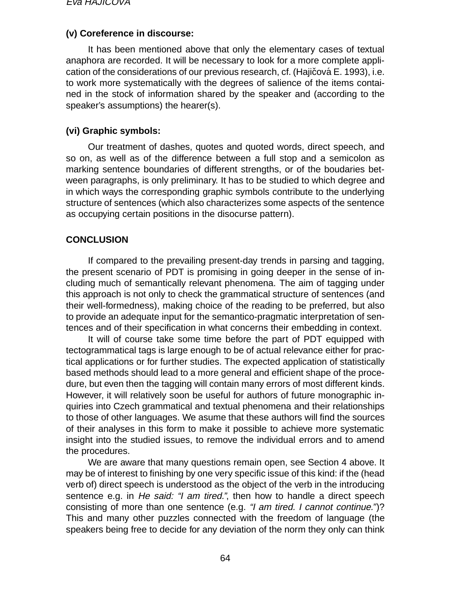#### **(v) Coreference in discourse:**

It has been mentioned above that only the elementary cases of textual anaphora are recorded. It will be necessary to look for a more complete application of the considerations of our previous research, cf. (Hajičová E. 1993), i.e. to work more systematically with the degrees of salience of the items contained in the stock of information shared by the speaker and (according to the speaker's assumptions) the hearer(s).

#### **(vi) Graphic symbols:**

Our treatment of dashes, quotes and quoted words, direct speech, and so on, as well as of the difference between a full stop and a semicolon as marking sentence boundaries of different strengths, or of the boudaries between paragraphs, is only preliminary. It has to be studied to which degree and in which ways the corresponding graphic symbols contribute to the underlying structure of sentences (which also characterizes some aspects of the sentence as occupying certain positions in the disocurse pattern).

#### **CONCLUSION**

If compared to the prevailing present-day trends in parsing and tagging, the present scenario of PDT is promising in going deeper in the sense of including much of semantically relevant phenomena. The aim of tagging under this approach is not only to check the grammatical structure of sentences (and their well-formedness), making choice of the reading to be preferred, but also to provide an adequate input for the semantico-pragmatic interpretation of sentences and of their specification in what concerns their embedding in context.

It will of course take some time before the part of PDT equipped with tectogrammatical tags is large enough to be of actual relevance either for practical applications or for further studies. The expected application of statistically based methods should lead to a more general and efficient shape of the procedure, but even then the tagging will contain many errors of most different kinds. However, it will relatively soon be useful for authors of future monographic inquiries into Czech grammatical and textual phenomena and their relationships to those of other languages. We asume that these authors will find the sources of their analyses in this form to make it possible to achieve more systematic insight into the studied issues, to remove the individual errors and to amend the procedures.

We are aware that many questions remain open, see Section 4 above. It may be of interest to finishing by one very specific issue of this kind: if the (head verb of) direct speech is understood as the object of the verb in the introducing sentence e.g. in He said: "I am tired.", then how to handle a direct speech consisting of more than one sentence (e.g. "I am tired. I cannot continue.")? This and many other puzzles connected with the freedom of language (the speakers being free to decide for any deviation of the norm they only can think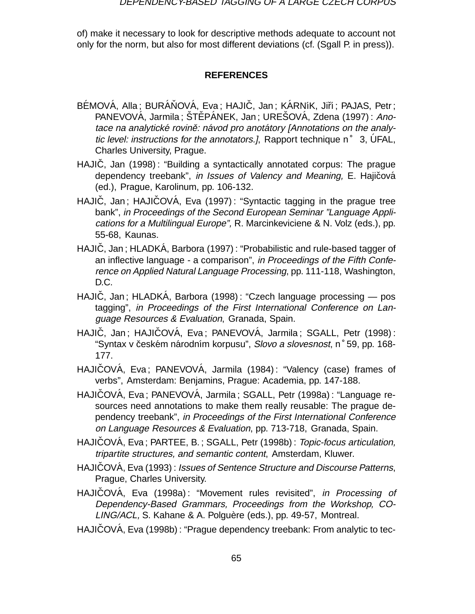of) make it necessary to look for descriptive methods adequate to account not only for the norm, but also for most different deviations (cf. (Sgall P. in press)).

#### **REFERENCES**

- BÉMOVÁ, Alla ; BURÁŇOVÁ, Eva ; HAJIČ, Jan ; KÁRNíK, Jiří ; PAJAS, Petr ; PANEVOVÁ, Jarmila; ŠTĚPÁNEK, Jan; UREŠOVÁ, Zdena (1997): Anotace na analytické rovině: návod pro anotátory [Annotations on the analytic level: instructions for the annotators.], Rapport technique  $n^*$  3, UFAL, Charles University, Prague.
- HAJIC, Jan (1998): "Building a syntactically annotated corpus: The prague dependency treebank", in Issues of Valency and Meaning, E. Hajičová (ed.), Prague, Karolinum, pp. 106-132.
- HAJIC, Jan; HAJICOVÁ, Eva (1997): "Syntactic tagging in the prague tree bank", in Proceedings of the Second European Seminar "Language Applications for <sup>a</sup> Multilingual Europe", R. Marcinkeviciene & N. Volz (eds.), pp. 55-68, Kaunas.
- HAJIČ, Jan; HLADKÁ, Barbora (1997): "Probabilistic and rule-based tagger of an inflective language - a comparison", in Proceedings of the Fifth Conference on Applied Natural Language Processing, pp. 111-118, Washington, D.C.
- HAJIČ, Jan; HLADKÁ, Barbora (1998): "Czech language processing  $-$  pos tagging", in Proceedings of the First International Conference on Language Resources & Evaluation, Granada, Spain.
- HAJIČ, Jan; HAJIČOVÁ, Eva; PANEVOVÁ, Jarmila; SGALL, Petr (1998): "Syntax v českém národním korpusu", Slovo a slovesnost, n° 59, pp. 168-177.
- HAJIČOVÁ, Eva; PANEVOVÁ, Jarmila (1984): "Valency (case) frames of verbs", Amsterdam: Benjamins, Prague: Academia, pp. 147-188.
- HAJIČOVÁ. Eva : PANEVOVÁ. Jarmila ; SGALL, Petr (1998a) : "Language resources need annotations to make them really reusable: The prague dependency treebank", in Proceedings of the First International Conference on Language Resources & Evaluation, pp. 713-718, Granada, Spain.
- HAJIČOVÁ, Eva; PARTEE, B.; SGALL, Petr (1998b): Topic-focus articulation, tripartite structures, and semantic content, Amsterdam, Kluwer.
- HAJICOVÁ, Eva (1993): *Issues of Sentence Structure and Discourse Patterns*, Prague, Charles University.
- HAJIČOVÁ, Eva (1998a): "Movement rules revisited", in Processing of Dependency-Based Grammars, Proceedings from the Workshop, CO-LING/ACL, S. Kahane & A. Polguère (eds.), pp. 49-57, Montreal.
- HAJIČOVÁ, Eva (1998b) : "Prague dependency treebank: From analytic to tec-